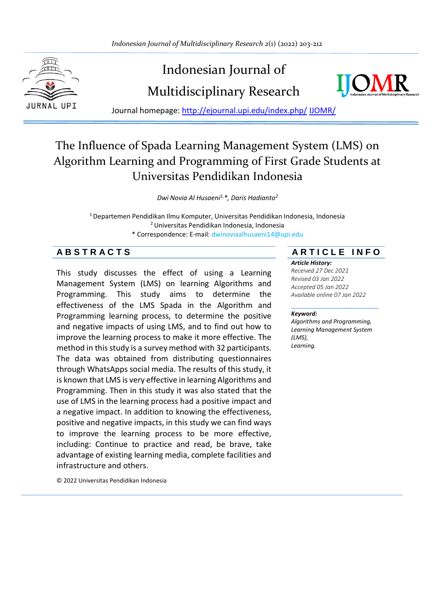

# Indonesian Journal of Multidisciplinary Research



Journal homepage: [http://ejournal.upi.edu/index.php/](http://ejournal.upi.edu/index.php/IJERT/) IJOMR/

## The Influence of Spada Learning Management System (LMS) on Algorithm Learning and Programming of First Grade Students at Universitas Pendidikan Indonesia

*Dwi Novia Al Husaeni1,\*, Daris Hadianto<sup>2</sup>*

<sup>1</sup>Departemen Pendidikan Ilmu Komputer, Universitas Pendidikan Indonesia, Indonesia <sup>2</sup>Universitas Pendidikan Indonesia, Indonesia \* Correspondence: E-mail: dwinoviaalhusaeni14@upi.edu

This study discusses the effect of using a Learning Management System (LMS) on learning Algorithms and Programming. This study aims to determine the effectiveness of the LMS Spada in the Algorithm and Programming learning process, to determine the positive and negative impacts of using LMS, and to find out how to improve the learning process to make it more effective. The method in this study is a survey method with 32 participants. The data was obtained from distributing questionnaires through WhatsApps social media. The results of this study, it is known that LMS is very effective in learning Algorithms and Programming. Then in this study it was also stated that the use of LMS in the learning process had a positive impact and a negative impact. In addition to knowing the effectiveness, positive and negative impacts, in this study we can find ways to improve the learning process to be more effective, including: Continue to practice and read, be brave, take advantage of existing learning media, complete facilities and infrastructure and others.

**A B S T R A C T S A R T I C L E I N F O**

*Article History:*

*Received 27 Dec 2021 Revised 03 Jan 2022 Accepted 05 Jan 2022 Available online 07 Jan 2022*

#### \_\_\_\_\_\_\_\_\_\_\_\_\_\_\_\_\_\_\_\_ *Keyword:*

*Algorithms and Programming, Learning Management System (LMS), Learning.*

© 2022 Universitas Pendidikan Indonesia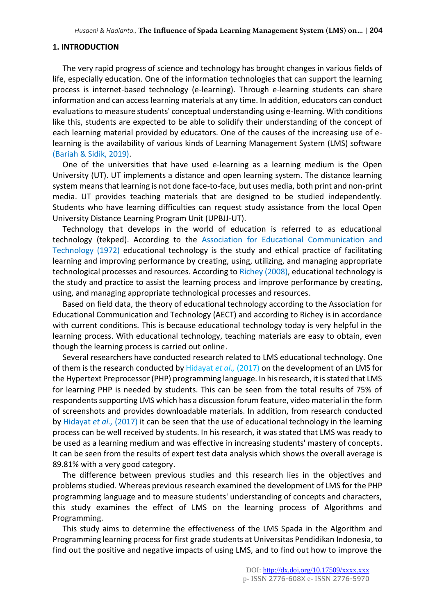#### **1. INTRODUCTION**

The very rapid progress of science and technology has brought changes in various fields of life, especially education. One of the information technologies that can support the learning process is internet-based technology (e-learning). Through e-learning students can share information and can access learning materials at any time. In addition, educators can conduct evaluations to measure students' conceptual understanding using e-learning. With conditions like this, students are expected to be able to solidify their understanding of the concept of each learning material provided by educators. One of the causes of the increasing use of elearning is the availability of various kinds of Learning Management System (LMS) software (Bariah & Sidik, 2019).

One of the universities that have used e-learning as a learning medium is the Open University (UT). UT implements a distance and open learning system. The distance learning system means that learning is not done face-to-face, but uses media, both print and non-print media. UT provides teaching materials that are designed to be studied independently. Students who have learning difficulties can request study assistance from the local Open University Distance Learning Program Unit (UPBJJ-UT).

Technology that develops in the world of education is referred to as educational technology (tekped). According to the Association for Educational Communication and Technology (1972) educational technology is the study and ethical practice of facilitating learning and improving performance by creating, using, utilizing, and managing appropriate technological processes and resources. According to Richey (2008), educational technology is the study and practice to assist the learning process and improve performance by creating, using, and managing appropriate technological processes and resources.

Based on field data, the theory of educational technology according to the Association for Educational Communication and Technology (AECT) and according to Richey is in accordance with current conditions. This is because educational technology today is very helpful in the learning process. With educational technology, teaching materials are easy to obtain, even though the learning process is carried out online.

Several researchers have conducted research related to LMS educational technology. One of them is the research conducted by Hidayat *et al.,* (2017) on the development of an LMS for the Hypertext Preprocessor (PHP) programming language. In his research, it is stated that LMS for learning PHP is needed by students. This can be seen from the total results of 75% of respondents supporting LMS which has a discussion forum feature, video material in the form of screenshots and provides downloadable materials. In addition, from research conducted by Hidayat *et al.,* (2017) it can be seen that the use of educational technology in the learning process can be well received by students. In his research, it was stated that LMS was ready to be used as a learning medium and was effective in increasing students' mastery of concepts. It can be seen from the results of expert test data analysis which shows the overall average is 89.81% with a very good category.

The difference between previous studies and this research lies in the objectives and problems studied. Whereas previous research examined the development of LMS for the PHP programming language and to measure students' understanding of concepts and characters, this study examines the effect of LMS on the learning process of Algorithms and Programming.

This study aims to determine the effectiveness of the LMS Spada in the Algorithm and Programming learning process for first grade students at Universitas Pendidikan Indonesia, to find out the positive and negative impacts of using LMS, and to find out how to improve the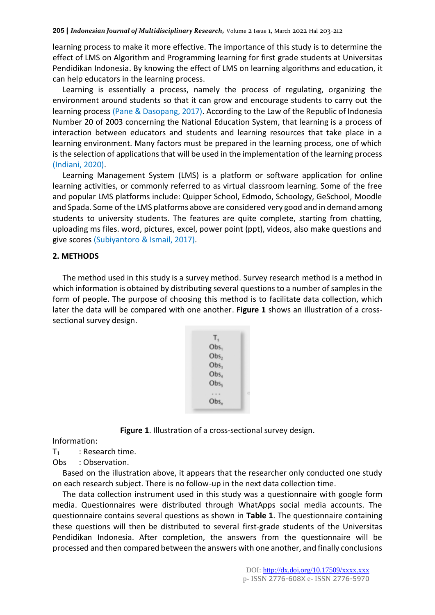learning process to make it more effective. The importance of this study is to determine the effect of LMS on Algorithm and Programming learning for first grade students at Universitas Pendidikan Indonesia. By knowing the effect of LMS on learning algorithms and education, it can help educators in the learning process.

Learning is essentially a process, namely the process of regulating, organizing the environment around students so that it can grow and encourage students to carry out the learning process (Pane & Dasopang, 2017). According to the Law of the Republic of Indonesia Number 20 of 2003 concerning the National Education System, that learning is a process of interaction between educators and students and learning resources that take place in a learning environment. Many factors must be prepared in the learning process, one of which is the selection of applications that will be used in the implementation of the learning process (Indiani, 2020).

Learning Management System (LMS) is a platform or software application for online learning activities, or commonly referred to as virtual classroom learning. Some of the free and popular LMS platforms include: Quipper School, Edmodo, Schoology, GeSchool, Moodle and Spada. Some of the LMS platforms above are considered very good and in demand among students to university students. The features are quite complete, starting from chatting, uploading ms files. word, pictures, excel, power point (ppt), videos, also make questions and give scores (Subiyantoro & Ismail, 2017).

#### **2. METHODS**

The method used in this study is a survey method. Survey research method is a method in which information is obtained by distributing several questions to a number of samples in the form of people. The purpose of choosing this method is to facilitate data collection, which later the data will be compared with one another. **Figure 1** shows an illustration of a crosssectional survey design.

| т,               |   |
|------------------|---|
| Obs <sub>1</sub> |   |
| Obs <sub>2</sub> |   |
| Obs <sub>3</sub> |   |
| Obs <sub>4</sub> |   |
| Obs <sub>s</sub> |   |
|                  | ۱ |
| Obs,             |   |
|                  |   |

**Figure 1**. Illustration of a cross-sectional survey design.

Information:

 $T_1$  : Research time.

Obs : Observation.

Based on the illustration above, it appears that the researcher only conducted one study on each research subject. There is no follow-up in the next data collection time.

The data collection instrument used in this study was a questionnaire with google form media. Questionnaires were distributed through WhatApps social media accounts. The questionnaire contains several questions as shown in **Table 1**. The questionnaire containing these questions will then be distributed to several first-grade students of the Universitas Pendidikan Indonesia. After completion, the answers from the questionnaire will be processed and then compared between the answers with one another, and finally conclusions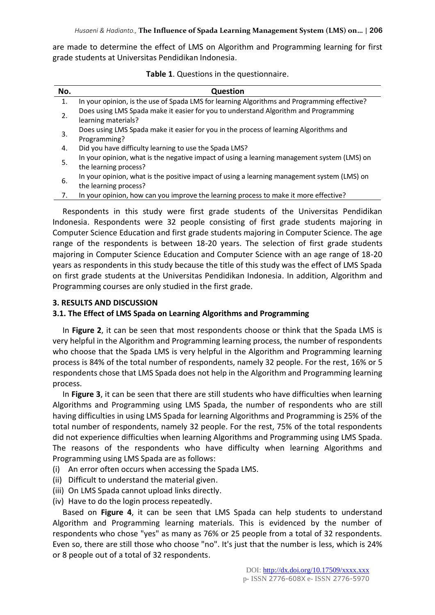are made to determine the effect of LMS on Algorithm and Programming learning for first grade students at Universitas Pendidikan Indonesia.

| No. | <b>Question</b>                                                                                                      |
|-----|----------------------------------------------------------------------------------------------------------------------|
| 1.  | In your opinion, is the use of Spada LMS for learning Algorithms and Programming effective?                          |
| 2.  | Does using LMS Spada make it easier for you to understand Algorithm and Programming<br>learning materials?           |
| 3.  | Does using LMS Spada make it easier for you in the process of learning Algorithms and<br>Programming?                |
| 4.  | Did you have difficulty learning to use the Spada LMS?                                                               |
| 5.  | In your opinion, what is the negative impact of using a learning management system (LMS) on<br>the learning process? |
| 6.  | In your opinion, what is the positive impact of using a learning management system (LMS) on<br>the learning process? |
| 7.  | In your opinion, how can you improve the learning process to make it more effective?                                 |

**Table 1**. Questions in the questionnaire.

Respondents in this study were first grade students of the Universitas Pendidikan Indonesia. Respondents were 32 people consisting of first grade students majoring in Computer Science Education and first grade students majoring in Computer Science. The age range of the respondents is between 18-20 years. The selection of first grade students majoring in Computer Science Education and Computer Science with an age range of 18-20 years as respondents in this study because the title of this study was the effect of LMS Spada on first grade students at the Universitas Pendidikan Indonesia. In addition, Algorithm and Programming courses are only studied in the first grade.

#### **3. RESULTS AND DISCUSSION**

#### **3.1. The Effect of LMS Spada on Learning Algorithms and Programming**

In **Figure 2**, it can be seen that most respondents choose or think that the Spada LMS is very helpful in the Algorithm and Programming learning process, the number of respondents who choose that the Spada LMS is very helpful in the Algorithm and Programming learning process is 84% of the total number of respondents, namely 32 people. For the rest, 16% or 5 respondents chose that LMS Spada does not help in the Algorithm and Programming learning process.

In **Figure 3**, it can be seen that there are still students who have difficulties when learning Algorithms and Programming using LMS Spada, the number of respondents who are still having difficulties in using LMS Spada for learning Algorithms and Programming is 25% of the total number of respondents, namely 32 people. For the rest, 75% of the total respondents did not experience difficulties when learning Algorithms and Programming using LMS Spada. The reasons of the respondents who have difficulty when learning Algorithms and Programming using LMS Spada are as follows:

- (i) An error often occurs when accessing the Spada LMS.
- (ii) Difficult to understand the material given.
- (iii) On LMS Spada cannot upload links directly.
- (iv) Have to do the login process repeatedly.

Based on **Figure 4**, it can be seen that LMS Spada can help students to understand Algorithm and Programming learning materials. This is evidenced by the number of respondents who chose "yes" as many as 76% or 25 people from a total of 32 respondents. Even so, there are still those who choose "no". It's just that the number is less, which is 24% or 8 people out of a total of 32 respondents.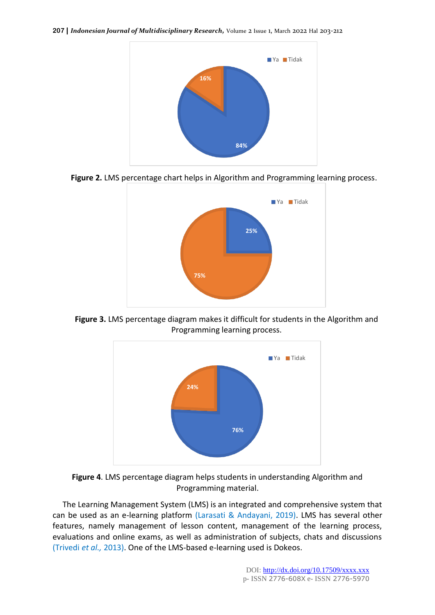

**Figure 2.** LMS percentage chart helps in Algorithm and Programming learning process.



**Figure 3.** LMS percentage diagram makes it difficult for students in the Algorithm and Programming learning process.



**Figure 4**. LMS percentage diagram helps students in understanding Algorithm and Programming material.

The Learning Management System (LMS) is an integrated and comprehensive system that can be used as an e-learning platform (Larasati & Andayani, 2019). LMS has several other features, namely management of lesson content, management of the learning process, evaluations and online exams, as well as administration of subjects, chats and discussions (Trivedi *et al.,* 2013). One of the LMS-based e-learning used is Dokeos.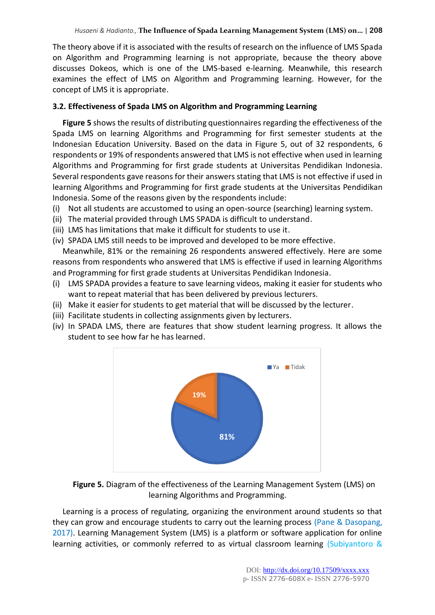The theory above if it is associated with the results of research on the influence of LMS Spada on Algorithm and Programming learning is not appropriate, because the theory above discusses Dokeos, which is one of the LMS-based e-learning. Meanwhile, this research examines the effect of LMS on Algorithm and Programming learning. However, for the concept of LMS it is appropriate.

### **3.2. Effectiveness of Spada LMS on Algorithm and Programming Learning**

**Figure 5** shows the results of distributing questionnaires regarding the effectiveness of the Spada LMS on learning Algorithms and Programming for first semester students at the Indonesian Education University. Based on the data in Figure 5, out of 32 respondents, 6 respondents or 19% of respondents answered that LMS is not effective when used in learning Algorithms and Programming for first grade students at Universitas Pendidikan Indonesia. Several respondents gave reasons for their answers stating that LMS is not effective if used in learning Algorithms and Programming for first grade students at the Universitas Pendidikan Indonesia. Some of the reasons given by the respondents include:

- (i) Not all students are accustomed to using an open-source (searching) learning system.
- (ii) The material provided through LMS SPADA is difficult to understand.
- (iii) LMS has limitations that make it difficult for students to use it.
- (iv) SPADA LMS still needs to be improved and developed to be more effective.

Meanwhile, 81% or the remaining 26 respondents answered effectively. Here are some reasons from respondents who answered that LMS is effective if used in learning Algorithms and Programming for first grade students at Universitas Pendidikan Indonesia.

- (i) LMS SPADA provides a feature to save learning videos, making it easier for students who want to repeat material that has been delivered by previous lecturers.
- (ii) Make it easier for students to get material that will be discussed by the lecturer.
- (iii) Facilitate students in collecting assignments given by lecturers.
- (iv) In SPADA LMS, there are features that show student learning progress. It allows the student to see how far he has learned.



**Figure 5.** Diagram of the effectiveness of the Learning Management System (LMS) on learning Algorithms and Programming.

Learning is a process of regulating, organizing the environment around students so that they can grow and encourage students to carry out the learning process (Pane & Dasopang, 2017). Learning Management System (LMS) is a platform or software application for online learning activities, or commonly referred to as virtual classroom learning (Subiyantoro &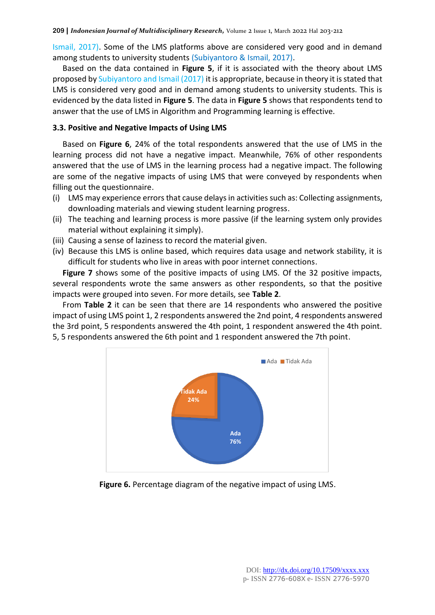Ismail, 2017). Some of the LMS platforms above are considered very good and in demand among students to university students (Subiyantoro & Ismail, 2017).

Based on the data contained in **Figure 5**, if it is associated with the theory about LMS proposed by Subiyantoro and Ismail (2017) it is appropriate, because in theory it is stated that LMS is considered very good and in demand among students to university students. This is evidenced by the data listed in **Figure 5**. The data in **Figure 5** shows that respondents tend to answer that the use of LMS in Algorithm and Programming learning is effective.

#### **3.3. Positive and Negative Impacts of Using LMS**

Based on **Figure 6**, 24% of the total respondents answered that the use of LMS in the learning process did not have a negative impact. Meanwhile, 76% of other respondents answered that the use of LMS in the learning process had a negative impact. The following are some of the negative impacts of using LMS that were conveyed by respondents when filling out the questionnaire.

- (i) LMS may experience errors that cause delays in activities such as: Collecting assignments, downloading materials and viewing student learning progress.
- (ii) The teaching and learning process is more passive (if the learning system only provides material without explaining it simply).
- (iii) Causing a sense of laziness to record the material given.
- (iv) Because this LMS is online based, which requires data usage and network stability, it is difficult for students who live in areas with poor internet connections.

**Figure 7** shows some of the positive impacts of using LMS. Of the 32 positive impacts, several respondents wrote the same answers as other respondents, so that the positive impacts were grouped into seven. For more details, see **Table 2**.

From **Table 2** it can be seen that there are 14 respondents who answered the positive impact of using LMS point 1, 2 respondents answered the 2nd point, 4 respondents answered the 3rd point, 5 respondents answered the 4th point, 1 respondent answered the 4th point. 5, 5 respondents answered the 6th point and 1 respondent answered the 7th point.



**Figure 6.** Percentage diagram of the negative impact of using LMS.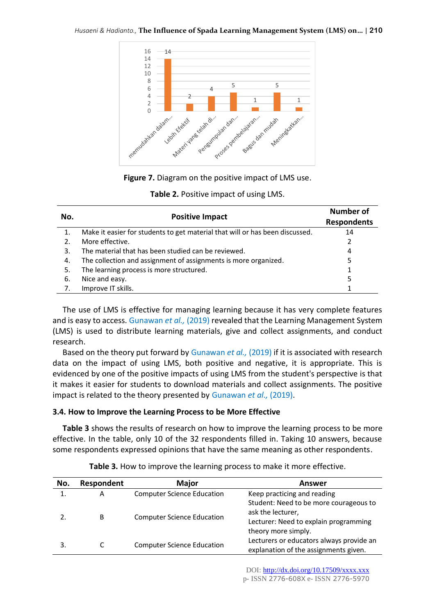

**Figure 7.** Diagram on the positive impact of LMS use.

| Table 2. Positive impact of using LMS. |
|----------------------------------------|
|----------------------------------------|

| No. | <b>Positive Impact</b>                                                       | <b>Number of</b><br><b>Respondents</b> |
|-----|------------------------------------------------------------------------------|----------------------------------------|
| 1.  | Make it easier for students to get material that will or has been discussed. | 14                                     |
| 2.  | More effective.                                                              | 2                                      |
| 3.  | The material that has been studied can be reviewed.                          | 4                                      |
| 4.  | The collection and assignment of assignments is more organized.              | 5                                      |
| 5.  | The learning process is more structured.                                     | 1                                      |
| -6. | Nice and easy.                                                               | 5                                      |
|     | Improve IT skills.                                                           |                                        |

The use of LMS is effective for managing learning because it has very complete features and is easy to access. Gunawan *et al.,* (2019) revealed that the Learning Management System (LMS) is used to distribute learning materials, give and collect assignments, and conduct research.

Based on the theory put forward by Gunawan *et al.,* (2019) if it is associated with research data on the impact of using LMS, both positive and negative, it is appropriate. This is evidenced by one of the positive impacts of using LMS from the student's perspective is that it makes it easier for students to download materials and collect assignments. The positive impact is related to the theory presented by Gunawan *et al.,* (2019).

#### **3.4. How to Improve the Learning Process to be More Effective**

**Table 3** shows the results of research on how to improve the learning process to be more effective. In the table, only 10 of the 32 respondents filled in. Taking 10 answers, because some respondents expressed opinions that have the same meaning as other respondents.

| No. | Respondent | <b>Major</b>                      | Answer                                   |
|-----|------------|-----------------------------------|------------------------------------------|
|     | A          | <b>Computer Science Education</b> | Keep practicing and reading              |
|     |            |                                   | Student: Need to be more courageous to   |
|     | B          | <b>Computer Science Education</b> | ask the lecturer,                        |
|     |            |                                   | Lecturer: Need to explain programming    |
|     |            |                                   | theory more simply.                      |
|     |            | <b>Computer Science Education</b> | Lecturers or educators always provide an |
|     |            |                                   | explanation of the assignments given.    |

**Table 3.** How to improve the learning process to make it more effective.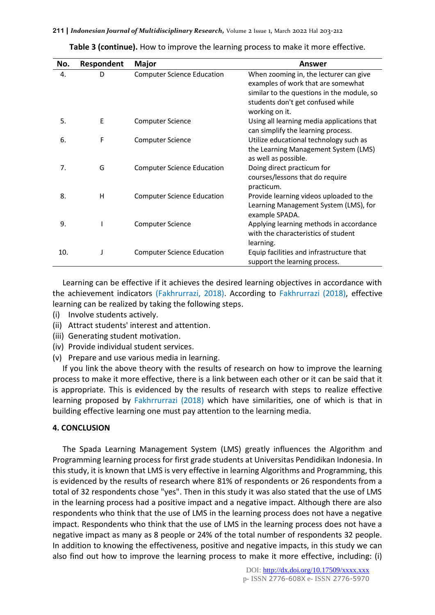| No. | Respondent | <b>Major</b>                      | Answer                                     |
|-----|------------|-----------------------------------|--------------------------------------------|
| 4.  | D          | <b>Computer Science Education</b> | When zooming in, the lecturer can give     |
|     |            |                                   | examples of work that are somewhat         |
|     |            |                                   | similar to the questions in the module, so |
|     |            |                                   | students don't get confused while          |
|     |            |                                   | working on it.                             |
| 5.  | E          | <b>Computer Science</b>           | Using all learning media applications that |
|     |            |                                   | can simplify the learning process.         |
| 6.  | F          | Computer Science                  | Utilize educational technology such as     |
|     |            |                                   | the Learning Management System (LMS)       |
|     |            |                                   | as well as possible.                       |
| 7.  | G          | <b>Computer Science Education</b> | Doing direct practicum for                 |
|     |            |                                   | courses/lessons that do require            |
|     |            |                                   | practicum.                                 |
| 8.  | н          | <b>Computer Science Education</b> | Provide learning videos uploaded to the    |
|     |            |                                   | Learning Management System (LMS), for      |
|     |            |                                   | example SPADA.                             |
| 9.  |            | Computer Science                  | Applying learning methods in accordance    |
|     |            |                                   | with the characteristics of student        |
|     |            |                                   | learning.                                  |
| 10. |            | <b>Computer Science Education</b> | Equip facilities and infrastructure that   |
|     |            |                                   | support the learning process.              |

**Table 3 (continue).** How to improve the learning process to make it more effective.

Learning can be effective if it achieves the desired learning objectives in accordance with the achievement indicators (Fakhrurrazi, 2018). According to Fakhrurrazi (2018), effective learning can be realized by taking the following steps.

- (i) Involve students actively.
- (ii) Attract students' interest and attention.
- (iii) Generating student motivation.
- (iv) Provide individual student services.
- (v) Prepare and use various media in learning.

If you link the above theory with the results of research on how to improve the learning process to make it more effective, there is a link between each other or it can be said that it is appropriate. This is evidenced by the results of research with steps to realize effective learning proposed by Fakhrrurrazi (2018) which have similarities, one of which is that in building effective learning one must pay attention to the learning media.

#### **4. CONCLUSION**

The Spada Learning Management System (LMS) greatly influences the Algorithm and Programming learning process for first grade students at Universitas Pendidikan Indonesia. In this study, it is known that LMS is very effective in learning Algorithms and Programming, this is evidenced by the results of research where 81% of respondents or 26 respondents from a total of 32 respondents chose "yes". Then in this study it was also stated that the use of LMS in the learning process had a positive impact and a negative impact. Although there are also respondents who think that the use of LMS in the learning process does not have a negative impact. Respondents who think that the use of LMS in the learning process does not have a negative impact as many as 8 people or 24% of the total number of respondents 32 people. In addition to knowing the effectiveness, positive and negative impacts, in this study we can also find out how to improve the learning process to make it more effective, including: (i)